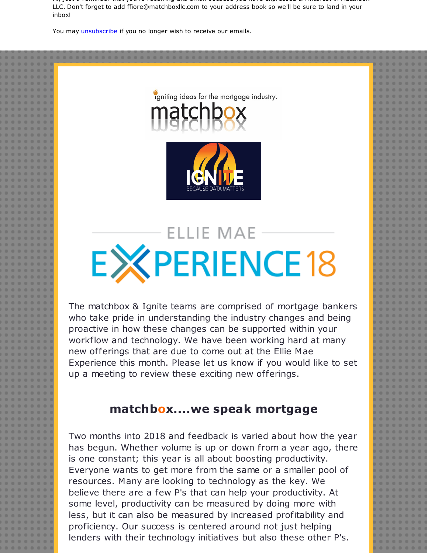Hi, just a reminder that you're receiving this email because you have expressed an interest in Matchbox LLC. Don't forget to add ffiore@matchboxllc.com to your address book so we'll be sure to land in your inbox!

You may *[unsubscribe](https://visitor.constantcontact.com/do?p=un&m=001B1MbCl1BZX5WT93PZZ-ZrQ%3D%3D&ch=&ca=e7387c39-02bd-4b06-b71f-edf26cdd96c0)* if you no longer wish to receive our emails.



igniting ideas for the mortgage industry.

# **ELLIE MAE EXPERIENCE18**

The matchbox & Ignite teams are comprised of mortgage bankers who take pride in understanding the industry changes and being proactive in how these changes can be supported within your workflow and technology. We have been working hard at many new offerings that are due to come out at the Ellie Mae Experience this month. Please let us know if you would like to set up a meeting to review these exciting new offerings.

### **matchbox....we speak mortgage**

Two months into 2018 and feedback is varied about how the year has begun. Whether volume is up or down from a year ago, there is one constant; this year is all about boosting productivity. Everyone wants to get more from the same or a smaller pool of resources. Many are looking to technology as the key. We believe there are a few P's that can help your productivity. At some level, productivity can be measured by doing more with less, but it can also be measured by increased profitability and proficiency. Our success is centered around not just helping lenders with their technology initiatives but also these other P's.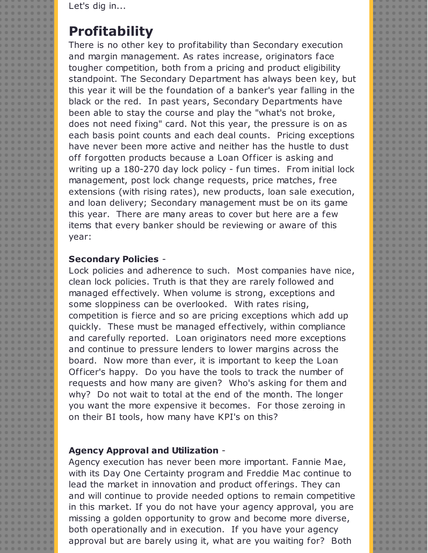Let's dig in...

## **Profitability**

There is no other key to profitability than Secondary execution and margin management. As rates increase, originators face tougher competition, both from a pricing and product eligibility standpoint. The Secondary Department has always been key, but this year it will be the foundation of a banker's year falling in the black or the red. In past years, Secondary Departments have been able to stay the course and play the "what's not broke, does not need fixing" card. Not this year, the pressure is on as each basis point counts and each deal counts. Pricing exceptions have never been more active and neither has the hustle to dust off forgotten products because a Loan Officer is asking and writing up a 180-270 day lock policy - fun times. From initial lock management, post lock change requests, price matches, free extensions (with rising rates), new products, loan sale execution, and loan delivery; Secondary management must be on its game this year. There are many areas to cover but here are a few items that every banker should be reviewing or aware of this year:

#### **Secondary Policies** -

Lock policies and adherence to such. Most companies have nice, clean lock policies. Truth is that they are rarely followed and managed effectively. When volume is strong, exceptions and some sloppiness can be overlooked. With rates rising, competition is fierce and so are pricing exceptions which add up quickly. These must be managed effectively, within compliance and carefully reported. Loan originators need more exceptions and continue to pressure lenders to lower margins across the board. Now more than ever, it is important to keep the Loan Officer's happy. Do you have the tools to track the number of requests and how many are given? Who's asking for them and why? Do not wait to total at the end of the month. The longer you want the more expensive it becomes. For those zeroing in on their BI tools, how many have KPI's on this?

#### **Agency Approval and Utilization** -

Agency execution has never been more important. Fannie Mae, with its Day One Certainty program and Freddie Mac continue to lead the market in innovation and product offerings. They can and will continue to provide needed options to remain competitive in this market. If you do not have your agency approval, you are missing a golden opportunity to grow and become more diverse, both operationally and in execution. If you have your agency approval but are barely using it, what are you waiting for? Both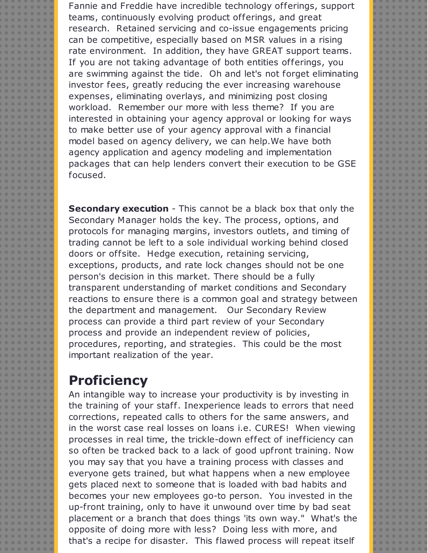Fannie and Freddie have incredible technology offerings, support teams, continuously evolving product offerings, and great research. Retained servicing and co-issue engagements pricing can be competitive, especially based on MSR values in a rising rate environment. In addition, they have GREAT support teams. If you are not taking advantage of both entities offerings, you are swimming against the tide. Oh and let's not forget eliminating investor fees, greatly reducing the ever increasing warehouse expenses, eliminating overlays, and minimizing post closing workload. Remember our more with less theme? If you are interested in obtaining your agency approval or looking for ways to make better use of your agency approval with a financial model based on agency delivery, we can help.We have both agency application and agency modeling and implementation packages that can help lenders convert their execution to be GSE focused.

**Secondary execution** - This cannot be a black box that only the Secondary Manager holds the key. The process, options, and protocols for managing margins, investors outlets, and timing of trading cannot be left to a sole individual working behind closed doors or offsite. Hedge execution, retaining servicing, exceptions, products, and rate lock changes should not be one person's decision in this market. There should be a fully transparent understanding of market conditions and Secondary reactions to ensure there is a common goal and strategy between the department and management. Our Secondary Review process can provide a third part review of your Secondary process and provide an independent review of policies, procedures, reporting, and strategies. This could be the most important realization of the year.

## **Proficiency**

An intangible way to increase your productivity is by investing in the training of your staff. Inexperience leads to errors that need corrections, repeated calls to others for the same answers, and in the worst case real losses on loans i.e. CURES! When viewing processes in real time, the trickle-down effect of inefficiency can so often be tracked back to a lack of good upfront training. Now you may say that you have a training process with classes and everyone gets trained, but what happens when a new employee gets placed next to someone that is loaded with bad habits and becomes your new employees go-to person. You invested in the up-front training, only to have it unwound over time by bad seat placement or a branch that does things 'its own way." What's the opposite of doing more with less? Doing less with more, and that's a recipe for disaster. This flawed process will repeat itself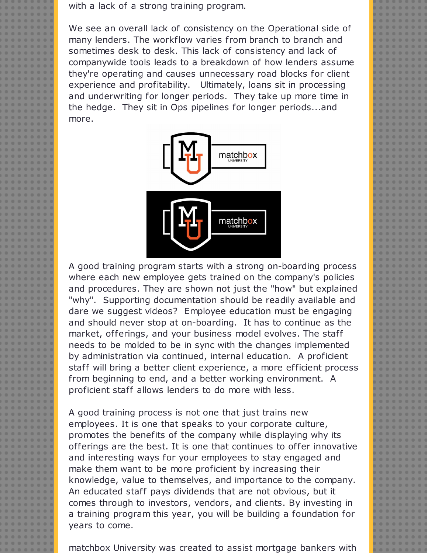with a lack of a strong training program.

We see an overall lack of consistency on the Operational side of many lenders. The workflow varies from branch to branch and sometimes desk to desk. This lack of consistency and lack of companywide tools leads to a breakdown of how lenders assume they're operating and causes unnecessary road blocks for client experience and profitability. Ultimately, loans sit in processing and underwriting for longer periods. They take up more time in the hedge. They sit in Ops pipelines for longer periods...and more.



A good training program starts with a strong on-boarding process where each new employee gets trained on the company's policies and procedures. They are shown not just the "how" but explained "why". Supporting documentation should be readily available and dare we suggest videos? Employee education must be engaging and should never stop at on-boarding. It has to continue as the market, offerings, and your business model evolves. The staff needs to be molded to be in sync with the changes implemented by administration via continued, internal education. A proficient staff will bring a better client experience, a more efficient process from beginning to end, and a better working environment. A proficient staff allows lenders to do more with less.

A good training process is not one that just trains new employees. It is one that speaks to your corporate culture, promotes the benefits of the company while displaying why its offerings are the best. It is one that continues to offer innovative and interesting ways for your employees to stay engaged and make them want to be more proficient by increasing their knowledge, value to themselves, and importance to the company. An educated staff pays dividends that are not obvious, but it comes through to investors, vendors, and clients. By investing in a training program this year, you will be building a foundation for years to come.

matchbox University was created to assist mortgage bankers with